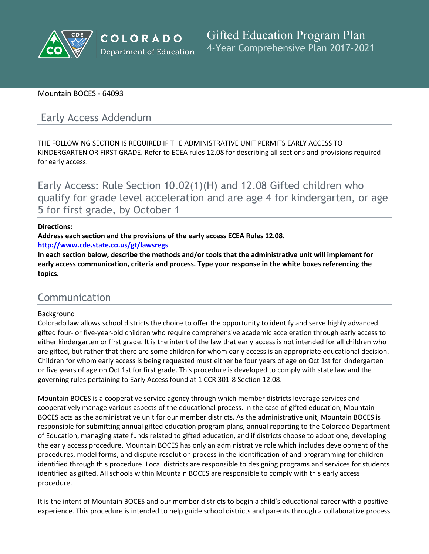

#### Mountain BOCES - 64093

# Early Access Addendum

THE FOLLOWING SECTION IS REQUIRED IF THE ADMINISTRATIVE UNIT PERMITS EARLY ACCESS TO KINDERGARTEN OR FIRST GRADE. Refer to ECEA rules 12.08 for describing all sections and provisions required for early access.

Early Access: Rule Section 10.02(1)(H) and 12.08 Gifted children who qualify for grade level acceleration and are age 4 for kindergarten, or age 5 for first grade, by October 1

#### **Directions:**

**Address each section and the provisions of the early access ECEA Rules 12.08.**

**<http://www.cde.state.co.us/gt/lawsregs>**

**In each section below, describe the methods and/or tools that the administrative unit will implement for early access communication, criteria and process. Type your response in the white boxes referencing the topics.**

# Communication

#### Background

Colorado law allows school districts the choice to offer the opportunity to identify and serve highly advanced gifted four- or five-year-old children who require comprehensive academic acceleration through early access to either kindergarten or first grade. It is the intent of the law that early access is not intended for all children who are gifted, but rather that there are some children for whom early access is an appropriate educational decision. Children for whom early access is being requested must either be four years of age on Oct 1st for kindergarten or five years of age on Oct 1st for first grade. This procedure is developed to comply with state law and the governing rules pertaining to Early Access found at 1 CCR 301-8 Section 12.08.

Mountain BOCES is a cooperative service agency through which member districts leverage services and cooperatively manage various aspects of the educational process. In the case of gifted education, Mountain BOCES acts as the administrative unit for our member districts. As the administrative unit, Mountain BOCES is responsible for submitting annual gifted education program plans, annual reporting to the Colorado Department of Education, managing state funds related to gifted education, and if districts choose to adopt one, developing the early access procedure. Mountain BOCES has only an administrative role which includes development of the procedures, model forms, and dispute resolution process in the identification of and programming for children identified through this procedure. Local districts are responsible to designing programs and services for students identified as gifted. All schools within Mountain BOCES are responsible to comply with this early access procedure.

It is the intent of Mountain BOCES and our member districts to begin a child's educational career with a positive experience. This procedure is intended to help guide school districts and parents through a collaborative process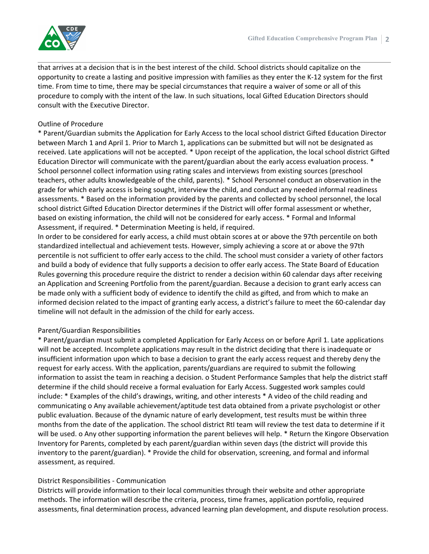

that arrives at a decision that is in the best interest of the child. School districts should capitalize on the opportunity to create a lasting and positive impression with families as they enter the K-12 system for the first time. From time to time, there may be special circumstances that require a waiver of some or all of this procedure to comply with the intent of the law. In such situations, local Gifted Education Directors should consult with the Executive Director.

# Outline of Procedure

\* Parent/Guardian submits the Application for Early Access to the local school district Gifted Education Director between March 1 and April 1. Prior to March 1, applications can be submitted but will not be designated as received. Late applications will not be accepted. \* Upon receipt of the application, the local school district Gifted Education Director will communicate with the parent/guardian about the early access evaluation process. \* School personnel collect information using rating scales and interviews from existing sources (preschool teachers, other adults knowledgeable of the child, parents). \* School Personnel conduct an observation in the grade for which early access is being sought, interview the child, and conduct any needed informal readiness assessments. \* Based on the information provided by the parents and collected by school personnel, the local school district Gifted Education Director determines if the District will offer formal assessment or whether, based on existing information, the child will not be considered for early access. \* Formal and Informal Assessment, if required. \* Determination Meeting is held, if required.

In order to be considered for early access, a child must obtain scores at or above the 97th percentile on both standardized intellectual and achievement tests. However, simply achieving a score at or above the 97th percentile is not sufficient to offer early access to the child. The school must consider a variety of other factors and build a body of evidence that fully supports a decision to offer early access. The State Board of Education Rules governing this procedure require the district to render a decision within 60 calendar days after receiving an Application and Screening Portfolio from the parent/guardian. Because a decision to grant early access can be made only with a sufficient body of evidence to identify the child as gifted, and from which to make an informed decision related to the impact of granting early access, a district's failure to meet the 60-calendar day timeline will not default in the admission of the child for early access.

# Parent/Guardian Responsibilities

\* Parent/guardian must submit a completed Application for Early Access on or before April 1. Late applications will not be accepted. Incomplete applications may result in the district deciding that there is inadequate or insufficient information upon which to base a decision to grant the early access request and thereby deny the request for early access. With the application, parents/guardians are required to submit the following information to assist the team in reaching a decision. o Student Performance Samples that help the district staff determine if the child should receive a formal evaluation for Early Access. Suggested work samples could include: \* Examples of the child's drawings, writing, and other interests \* A video of the child reading and communicating o Any available achievement/aptitude test data obtained from a private psychologist or other public evaluation. Because of the dynamic nature of early development, test results must be within three months from the date of the application. The school district RtI team will review the test data to determine if it will be used. o Any other supporting information the parent believes will help. \* Return the Kingore Observation Inventory for Parents, completed by each parent/guardian within seven days (the district will provide this inventory to the parent/guardian). \* Provide the child for observation, screening, and formal and informal assessment, as required.

# District Responsibilities - Communication

Districts will provide information to their local communities through their website and other appropriate methods. The information will describe the criteria, process, time frames, application portfolio, required assessments, final determination process, advanced learning plan development, and dispute resolution process.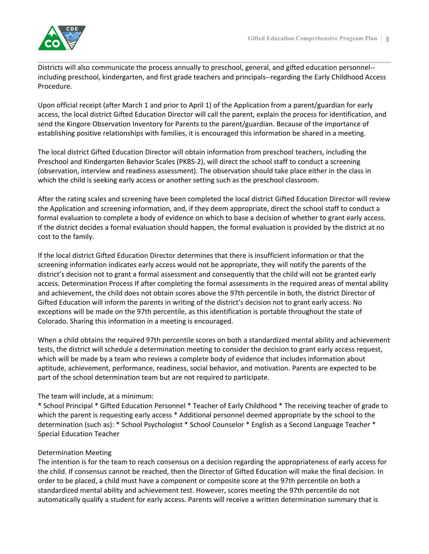

Districts will also communicate the process annually to preschool, general, and gifted education personnel- including preschool, kindergarten, and first grade teachers and principals--regarding the Early Childhood Access Procedure.

Upon official receipt (after March 1 and prior to April 1) of the Application from a parent/guardian for early access, the local district Gifted Education Director will call the parent, explain the process for identification, and send the Kingore Observation Inventory for Parents to the parent/guardian. Because of the importance of establishing positive relationships with families, it is encouraged this information be shared in a meeting.

The local district Gifted Education Director will obtain information from preschool teachers, including the Preschool and Kindergarten Behavior Scales (PKBS-2), will direct the school staff to conduct a screening (observation, interview and readiness assessment). The observation should take place either in the class in which the child is seeking early access or another setting such as the preschool classroom.

After the rating scales and screening have been completed the local district Gifted Education Director will review the Application and screening information, and, if they deem appropriate, direct the school staff to conduct a formal evaluation to complete a body of evidence on which to base a decision of whether to grant early access. If the district decides a formal evaluation should happen, the formal evaluation is provided by the district at no cost to the family.

If the local district Gifted Education Director determines that there is insufficient information or that the screening information indicates early access would not be appropriate, they will notify the parents of the district's decision not to grant a formal assessment and consequently that the child will not be granted early access. Determination Process If after completing the formal assessments in the required areas of mental ability and achievement, the child does not obtain scores above the 97th percentile in both, the district Director of Gifted Education will inform the parents in writing of the district's decision not to grant early access. No exceptions will be made on the 97th percentile, as this identification is portable throughout the state of Colorado. Sharing this information in a meeting is encouraged.

When a child obtains the required 97th percentile scores on both a standardized mental ability and achievement tests, the district will schedule a determination meeting to consider the decision to grant early access request, which will be made by a team who reviews a complete body of evidence that includes information about aptitude, achievement, performance, readiness, social behavior, and motivation. Parents are expected to be part of the school determination team but are not required to participate.

# The team will include, at a minimum:

\* School Principal \* Gifted Education Personnel \* Teacher of Early Childhood \* The receiving teacher of grade to which the parent is requesting early access \* Additional personnel deemed appropriate by the school to the determination (such as): \* School Psychologist \* School Counselor \* English as a Second Language Teacher \* Special Education Teacher

#### Determination Meeting

The intention is for the team to reach consensus on a decision regarding the appropriateness of early access for the child. If consensus cannot be reached, then the Director of Gifted Education will make the final decision. In order to be placed, a child must have a component or composite score at the 97th percentile on both a standardized mental ability and achievement test. However, scores meeting the 97th percentile do not automatically qualify a student for early access. Parents will receive a written determination summary that is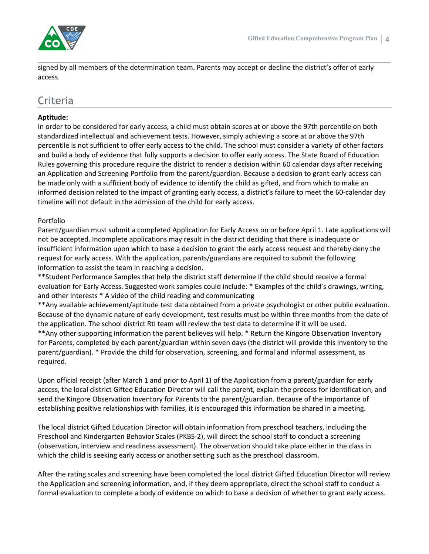

signed by all members of the determination team. Parents may accept or decline the district's offer of early access.

# Criteria

# **Aptitude:**

In order to be considered for early access, a child must obtain scores at or above the 97th percentile on both standardized intellectual and achievement tests. However, simply achieving a score at or above the 97th percentile is not sufficient to offer early access to the child. The school must consider a variety of other factors and build a body of evidence that fully supports a decision to offer early access. The State Board of Education Rules governing this procedure require the district to render a decision within 60 calendar days after receiving an Application and Screening Portfolio from the parent/guardian. Because a decision to grant early access can be made only with a sufficient body of evidence to identify the child as gifted, and from which to make an informed decision related to the impact of granting early access, a district's failure to meet the 60-calendar day timeline will not default in the admission of the child for early access.

# Portfolio

Parent/guardian must submit a completed Application for Early Access on or before April 1. Late applications will not be accepted. Incomplete applications may result in the district deciding that there is inadequate or insufficient information upon which to base a decision to grant the early access request and thereby deny the request for early access. With the application, parents/guardians are required to submit the following information to assist the team in reaching a decision.

\*\*Student Performance Samples that help the district staff determine if the child should receive a formal evaluation for Early Access. Suggested work samples could include: \* Examples of the child's drawings, writing, and other interests \* A video of the child reading and communicating

\*\*Any available achievement/aptitude test data obtained from a private psychologist or other public evaluation. Because of the dynamic nature of early development, test results must be within three months from the date of the application. The school district RtI team will review the test data to determine if it will be used.

\*\*Any other supporting information the parent believes will help. \* Return the Kingore Observation Inventory for Parents, completed by each parent/guardian within seven days (the district will provide this inventory to the parent/guardian). \* Provide the child for observation, screening, and formal and informal assessment, as required.

Upon official receipt (after March 1 and prior to April 1) of the Application from a parent/guardian for early access, the local district Gifted Education Director will call the parent, explain the process for identification, and send the Kingore Observation Inventory for Parents to the parent/guardian. Because of the importance of establishing positive relationships with families, it is encouraged this information be shared in a meeting.

The local district Gifted Education Director will obtain information from preschool teachers, including the Preschool and Kindergarten Behavior Scales (PKBS-2), will direct the school staff to conduct a screening (observation, interview and readiness assessment). The observation should take place either in the class in which the child is seeking early access or another setting such as the preschool classroom.

After the rating scales and screening have been completed the local district Gifted Education Director will review the Application and screening information, and, if they deem appropriate, direct the school staff to conduct a formal evaluation to complete a body of evidence on which to base a decision of whether to grant early access.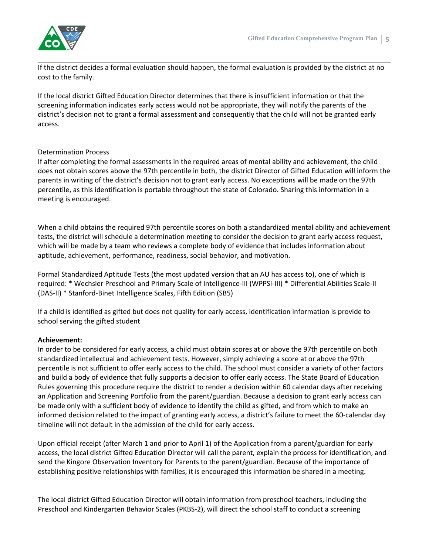If the district decides a formal evaluation should happen, the formal evaluation is provided by the district at no cost to the family.

If the local district Gifted Education Director determines that there is insufficient information or that the screening information indicates early access would not be appropriate, they will notify the parents of the district's decision not to grant a formal assessment and consequently that the child will not be granted early access.

#### Determination Process

If after completing the formal assessments in the required areas of mental ability and achievement, the child does not obtain scores above the 97th percentile in both, the district Director of Gifted Education will inform the parents in writing of the district's decision not to grant early access. No exceptions will be made on the 97th percentile, as this identification is portable throughout the state of Colorado. Sharing this information in a meeting is encouraged.

When a child obtains the required 97th percentile scores on both a standardized mental ability and achievement tests, the district will schedule a determination meeting to consider the decision to grant early access request, which will be made by a team who reviews a complete body of evidence that includes information about aptitude, achievement, performance, readiness, social behavior, and motivation.

Formal Standardized Aptitude Tests (the most updated version that an AU has access to), one of which is required: \* Wechsler Preschool and Primary Scale of Intelligence-III (WPPSI-III) \* Differential Abilities Scale-II (DAS-II) \* Stanford-Binet Intelligence Scales, Fifth Edition (SB5)

If a child is identified as gifted but does not quality for early access, identification information is provide to school serving the gifted student

#### **Achievement:**

In order to be considered for early access, a child must obtain scores at or above the 97th percentile on both standardized intellectual and achievement tests. However, simply achieving a score at or above the 97th percentile is not sufficient to offer early access to the child. The school must consider a variety of other factors and build a body of evidence that fully supports a decision to offer early access. The State Board of Education Rules governing this procedure require the district to render a decision within 60 calendar days after receiving an Application and Screening Portfolio from the parent/guardian. Because a decision to grant early access can be made only with a sufficient body of evidence to identify the child as gifted, and from which to make an informed decision related to the impact of granting early access, a district's failure to meet the 60-calendar day timeline will not default in the admission of the child for early access.

Upon official receipt (after March 1 and prior to April 1) of the Application from a parent/guardian for early access, the local district Gifted Education Director will call the parent, explain the process for identification, and send the Kingore Observation Inventory for Parents to the parent/guardian. Because of the importance of establishing positive relationships with families, it is encouraged this information be shared in a meeting.

The local district Gifted Education Director will obtain information from preschool teachers, including the Preschool and Kindergarten Behavior Scales (PKBS-2), will direct the school staff to conduct a screening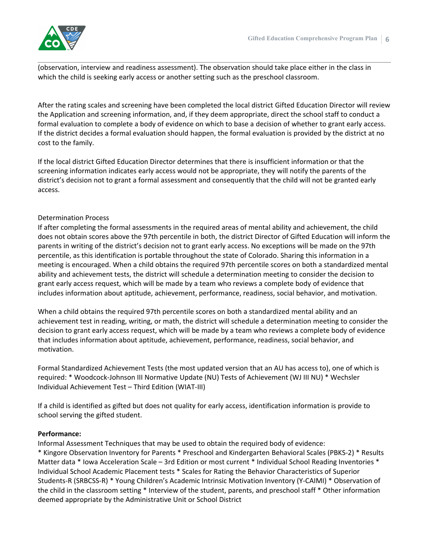

(observation, interview and readiness assessment). The observation should take place either in the class in which the child is seeking early access or another setting such as the preschool classroom.

After the rating scales and screening have been completed the local district Gifted Education Director will review the Application and screening information, and, if they deem appropriate, direct the school staff to conduct a formal evaluation to complete a body of evidence on which to base a decision of whether to grant early access. If the district decides a formal evaluation should happen, the formal evaluation is provided by the district at no cost to the family.

If the local district Gifted Education Director determines that there is insufficient information or that the screening information indicates early access would not be appropriate, they will notify the parents of the district's decision not to grant a formal assessment and consequently that the child will not be granted early access.

#### Determination Process

If after completing the formal assessments in the required areas of mental ability and achievement, the child does not obtain scores above the 97th percentile in both, the district Director of Gifted Education will inform the parents in writing of the district's decision not to grant early access. No exceptions will be made on the 97th percentile, as this identification is portable throughout the state of Colorado. Sharing this information in a meeting is encouraged. When a child obtains the required 97th percentile scores on both a standardized mental ability and achievement tests, the district will schedule a determination meeting to consider the decision to grant early access request, which will be made by a team who reviews a complete body of evidence that includes information about aptitude, achievement, performance, readiness, social behavior, and motivation.

When a child obtains the required 97th percentile scores on both a standardized mental ability and an achievement test in reading, writing, or math, the district will schedule a determination meeting to consider the decision to grant early access request, which will be made by a team who reviews a complete body of evidence that includes information about aptitude, achievement, performance, readiness, social behavior, and motivation.

Formal Standardized Achievement Tests (the most updated version that an AU has access to), one of which is required: \* Woodcock-Johnson III Normative Update (NU) Tests of Achievement (WJ III NU) \* Wechsler Individual Achievement Test – Third Edition (WIAT-III)

If a child is identified as gifted but does not quality for early access, identification information is provide to school serving the gifted student.

#### **Performance:**

Informal Assessment Techniques that may be used to obtain the required body of evidence:

\* Kingore Observation Inventory for Parents \* Preschool and Kindergarten Behavioral Scales (PBKS-2) \* Results Matter data \* Iowa Acceleration Scale – 3rd Edition or most current \* Individual School Reading Inventories \* Individual School Academic Placement tests \* Scales for Rating the Behavior Characteristics of Superior Students-R (SRBCSS-R) \* Young Children's Academic Intrinsic Motivation Inventory (Y-CAIMI) \* Observation of the child in the classroom setting \* Interview of the student, parents, and preschool staff \* Other information deemed appropriate by the Administrative Unit or School District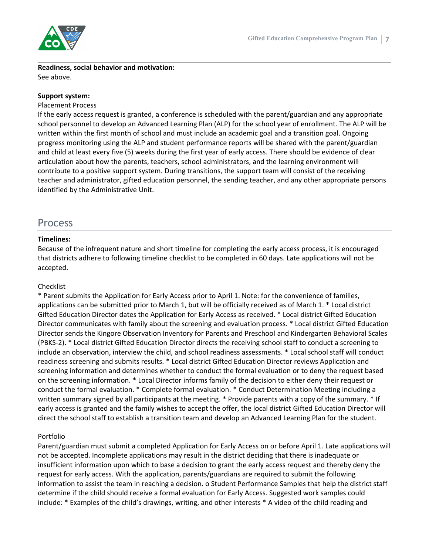

**Readiness, social behavior and motivation:** See above.

#### **Support system:**

#### Placement Process

If the early access request is granted, a conference is scheduled with the parent/guardian and any appropriate school personnel to develop an Advanced Learning Plan (ALP) for the school year of enrollment. The ALP will be written within the first month of school and must include an academic goal and a transition goal. Ongoing progress monitoring using the ALP and student performance reports will be shared with the parent/guardian and child at least every five (5) weeks during the first year of early access. There should be evidence of clear articulation about how the parents, teachers, school administrators, and the learning environment will contribute to a positive support system. During transitions, the support team will consist of the receiving teacher and administrator, gifted education personnel, the sending teacher, and any other appropriate persons identified by the Administrative Unit.

# Process

#### **Timelines:**

Because of the infrequent nature and short timeline for completing the early access process, it is encouraged that districts adhere to following timeline checklist to be completed in 60 days. Late applications will not be accepted.

# Checklist

\* Parent submits the Application for Early Access prior to April 1. Note: for the convenience of families, applications can be submitted prior to March 1, but will be officially received as of March 1. \* Local district Gifted Education Director dates the Application for Early Access as received. \* Local district Gifted Education Director communicates with family about the screening and evaluation process. \* Local district Gifted Education Director sends the Kingore Observation Inventory for Parents and Preschool and Kindergarten Behavioral Scales (PBKS-2). \* Local district Gifted Education Director directs the receiving school staff to conduct a screening to include an observation, interview the child, and school readiness assessments. \* Local school staff will conduct readiness screening and submits results. \* Local district Gifted Education Director reviews Application and screening information and determines whether to conduct the formal evaluation or to deny the request based on the screening information. \* Local Director informs family of the decision to either deny their request or conduct the formal evaluation. \* Complete formal evaluation. \* Conduct Determination Meeting including a written summary signed by all participants at the meeting. \* Provide parents with a copy of the summary. \* If early access is granted and the family wishes to accept the offer, the local district Gifted Education Director will direct the school staff to establish a transition team and develop an Advanced Learning Plan for the student.

# Portfolio

Parent/guardian must submit a completed Application for Early Access on or before April 1. Late applications will not be accepted. Incomplete applications may result in the district deciding that there is inadequate or insufficient information upon which to base a decision to grant the early access request and thereby deny the request for early access. With the application, parents/guardians are required to submit the following information to assist the team in reaching a decision. o Student Performance Samples that help the district staff determine if the child should receive a formal evaluation for Early Access. Suggested work samples could include: \* Examples of the child's drawings, writing, and other interests \* A video of the child reading and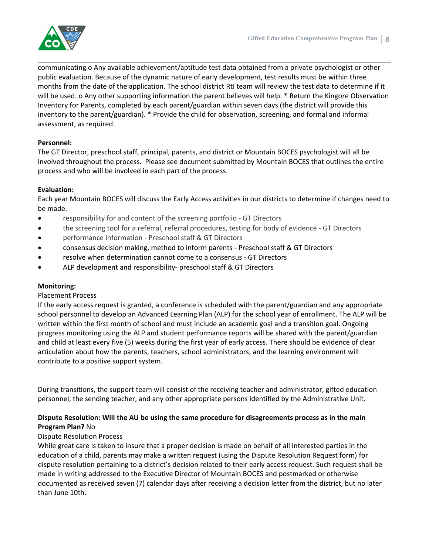

communicating o Any available achievement/aptitude test data obtained from a private psychologist or other public evaluation. Because of the dynamic nature of early development, test results must be within three months from the date of the application. The school district RtI team will review the test data to determine if it will be used. o Any other supporting information the parent believes will help. \* Return the Kingore Observation Inventory for Parents, completed by each parent/guardian within seven days (the district will provide this inventory to the parent/guardian). \* Provide the child for observation, screening, and formal and informal assessment, as required.

# **Personnel:**

The GT Director, preschool staff, principal, parents, and district or Mountain BOCES psychologist will all be involved throughout the process. Please see document submitted by Mountain BOCES that outlines the entire process and who will be involved in each part of the process.

# **Evaluation:**

Each year Mountain BOCES will discuss the Early Access activities in our districts to determine if changes need to be made.

- responsibility for and content of the screening portfolio GT Directors
- the screening tool for a referral, referral procedures, testing for body of evidence GT Directors
- performance information Preschool staff & GT Directors
- consensus decision making, method to inform parents Preschool staff & GT Directors
- resolve when determination cannot come to a consensus GT Directors
- ALP development and responsibility- preschool staff & GT Directors

#### **Monitoring:**

#### Placement Process

If the early access request is granted, a conference is scheduled with the parent/guardian and any appropriate school personnel to develop an Advanced Learning Plan (ALP) for the school year of enrollment. The ALP will be written within the first month of school and must include an academic goal and a transition goal. Ongoing progress monitoring using the ALP and student performance reports will be shared with the parent/guardian and child at least every five (5) weeks during the first year of early access. There should be evidence of clear articulation about how the parents, teachers, school administrators, and the learning environment will contribute to a positive support system.

During transitions, the support team will consist of the receiving teacher and administrator, gifted education personnel, the sending teacher, and any other appropriate persons identified by the Administrative Unit.

# **Dispute Resolution: Will the AU be using the same procedure for disagreements process as in the main Program Plan?** No

#### Dispute Resolution Process

While great care is taken to insure that a proper decision is made on behalf of all interested parties in the education of a child, parents may make a written request (using the Dispute Resolution Request form) for dispute resolution pertaining to a district's decision related to their early access request. Such request shall be made in writing addressed to the Executive Director of Mountain BOCES and postmarked or otherwise documented as received seven (7) calendar days after receiving a decision letter from the district, but no later than June 10th.